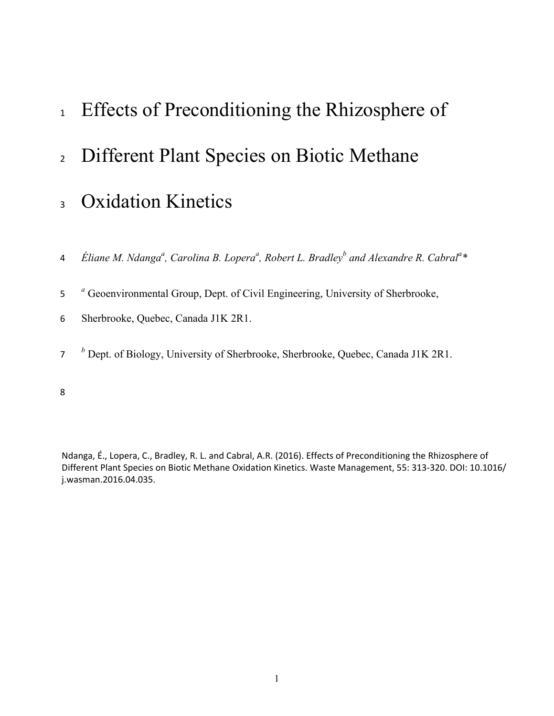- <sup>1</sup> Effects of Preconditioning the Rhizosphere of
- 2 Different Plant Species on Biotic Methane
- <sub>3</sub> Oxidation Kinetics
- 4 Eliane M. Ndanga<sup>a</sup>, Carolina B. Lopera<sup>a</sup>, Robert L. Bradley<sup>b</sup> and Alexandre R. Cabral<sup>a</sup>\*
- <sup>a</sup> Geoenvironmental Group, Dept. of Civil Engineering, University of Sherbrooke,
- 6 Sherbrooke, Quebec, Canada J1K 2R1.
- <sup>*b*</sup> Dept. of Biology, University of Sherbrooke, Sherbrooke, Quebec, Canada J1K 2R1.

8

Ndanga, É., Lopera, C., Bradley, R. L. and Cabral, A.R. (2016). Effects of Preconditioning the Rhizosphere of Different Plant Species on Biotic Methane Oxidation Kinetics. Waste Management, 55: 313-320. DOI: 10.1016/ j.wasman.2016.04.035.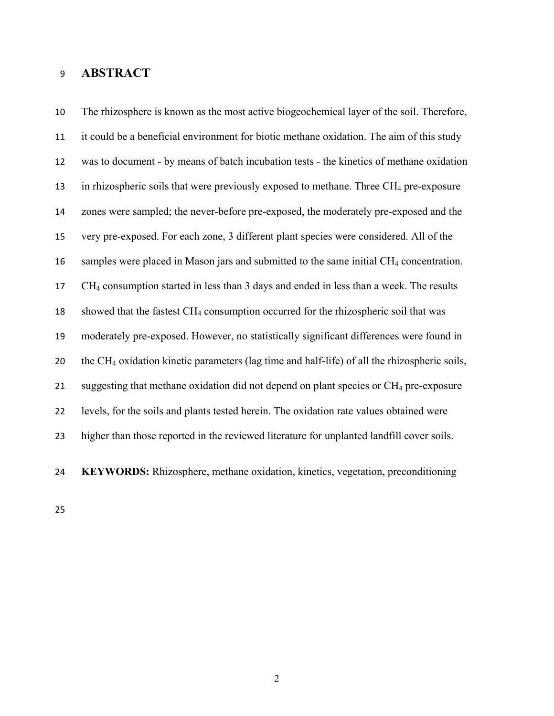# **ABSTRACT**

 The rhizosphere is known as the most active biogeochemical layer of the soil. Therefore, it could be a beneficial environment for biotic methane oxidation. The aim of this study was to document - by means of batch incubation tests - the kinetics of methane oxidation 13 in rhizospheric soils that were previously exposed to methane. Three  $CH_4$  pre-exposure zones were sampled; the never-before pre-exposed, the moderately pre-exposed and the very pre-exposed. For each zone, 3 different plant species were considered. All of the 16 samples were placed in Mason jars and submitted to the same initial CH<sub>4</sub> concentration. CH4 consumption started in less than 3 days and ended in less than a week. The results 18 showed that the fastest CH<sub>4</sub> consumption occurred for the rhizospheric soil that was moderately pre-exposed. However, no statistically significant differences were found in the CH4 oxidation kinetic parameters (lag time and half-life) of all the rhizospheric soils, 21 suggesting that methane oxidation did not depend on plant species or CH<sub>4</sub> pre-exposure levels, for the soils and plants tested herein. The oxidation rate values obtained were higher than those reported in the reviewed literature for unplanted landfill cover soils.



**KEYWORDS:** Rhizosphere, methane oxidation, kinetics, vegetation, preconditioning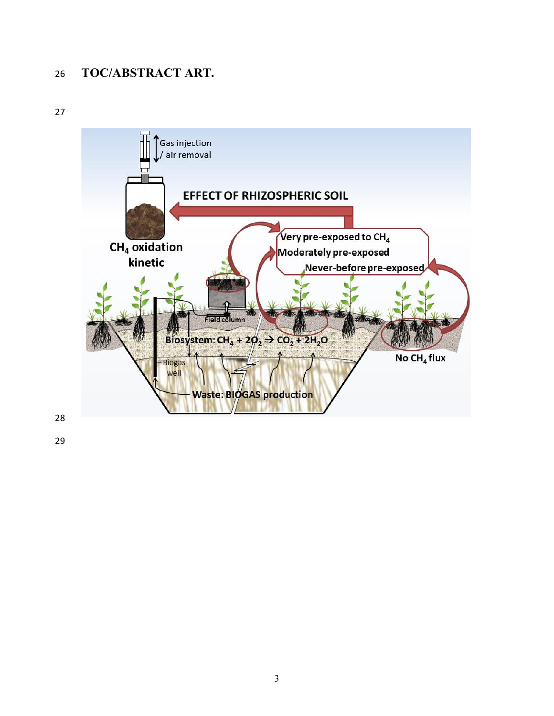# **TOC/ABSTRACT ART.**



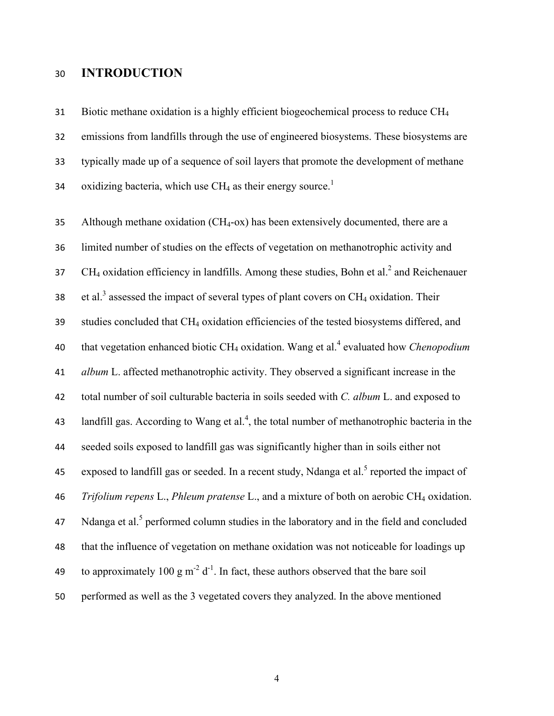### **INTRODUCTION**

 Biotic methane oxidation is a highly efficient biogeochemical process to reduce CH4 emissions from landfills through the use of engineered biosystems. These biosystems are typically made up of a sequence of soil layers that promote the development of methane 34 oxidizing bacteria, which use  $CH_4$  as their energy source.<sup>1</sup>

35 Although methane oxidation  $(CH_4$ -ox) has been extensively documented, there are a limited number of studies on the effects of vegetation on methanotrophic activity and  $CH_4$  oxidation efficiency in landfills. Among these studies, Bohn et al.<sup>2</sup> and Reichenauer 38 et al.<sup>3</sup> assessed the impact of several types of plant covers on  $CH_4$  oxidation. Their studies concluded that CH4 oxidation efficiencies of the tested biosystems differed, and 40 that vegetation enhanced biotic CH<sub>4</sub> oxidation[.](#page-21-0) Wang et al.<sup>4</sup> evaluated how *Chenopodium album* L. affected methanotrophic activity. They observed a significant increase in the total number of soil culturable bacteria in soils seeded with *C. album* L. and exposed to 43 landfill gas. According to Wang et al.<sup>4</sup>, the total number of methanotrophic bacteria in the seeded soils exposed to landfill gas was significantly higher than in soils either not [5](#page-21-1) exposed to landfill gas or seeded. In a recent study, Ndanga et al.<sup>5</sup> reported the impact of *Trifolium repens* L., *Phleum pratense* L., and a mixture of both on aerobic CH4 oxidation. Ndanga et al[.](#page-21-1)<sup>5</sup> performed column studies in the laboratory and in the field and concluded that the influence of vegetation on methane oxidation was not noticeable for loadings up 49 to approximately 100 g  $m^{-2} d^{-1}$ . In fact, these authors observed that the bare soil performed as well as the 3 vegetated covers they analyzed. In the above mentioned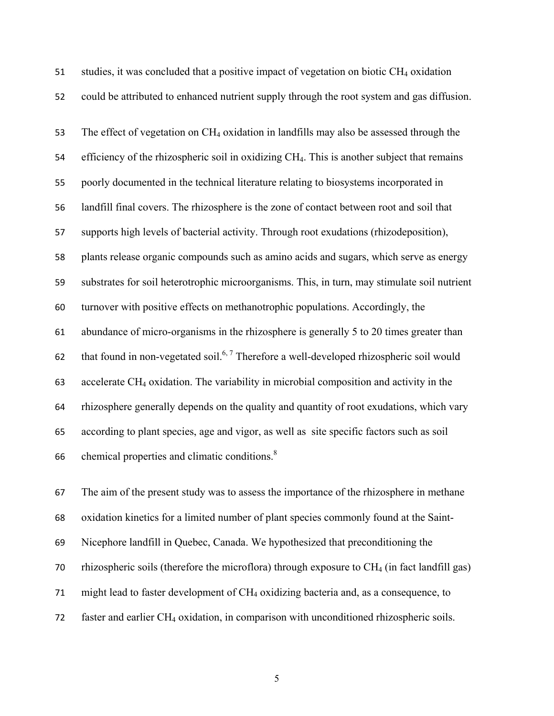51 studies, it was concluded that a positive impact of vegetation on biotic  $CH_4$  oxidation could be attributed to enhanced nutrient supply through the root system and gas diffusion. 53 The effect of vegetation on CH<sub>4</sub> oxidation in landfills may also be assessed through the 54 efficiency of the rhizospheric soil in oxidizing CH<sub>4</sub>. This is another subject that remains poorly documented in the technical literature relating to biosystems incorporated in landfill final covers. The rhizosphere is the zone of contact between root and soil that supports high levels of bacterial activity. Through root exudations (rhizodeposition), plants release organic compounds such as amino acids and sugars, which serve as energy substrates for soil heterotrophic microorganisms. This, in turn, may stimulate soil nutrient turnover with positive effects on methanotrophic populations. Accordingly, the abundance of micro-organisms in the rhizosphere is generally 5 to 20 times greater than 62 that found in non-vegetated soil.<sup>6,7</sup> Therefore a well-developed rhizospheric soil would accelerate CH4 oxidation. The variability in microbial composition and activity in the rhizosphere generally depends on the quality and quantity of root exudations, which vary according to plant species, age and vigor, as well as site specific factors such as soil 66 chemical properties and climatic conditions. $8<sup>8</sup>$ 

 The aim of the present study was to assess the importance of the rhizosphere in methane oxidation kinetics for a limited number of plant species commonly found at the Saint- Nicephore landfill in Quebec, Canada. We hypothesized that preconditioning the 70 rhizospheric soils (therefore the microflora) through exposure to  $CH_4$  (in fact landfill gas) might lead to faster development of CH4 oxidizing bacteria and, as a consequence, to 72 faster and earlier CH<sub>4</sub> oxidation, in comparison with unconditioned rhizospheric soils.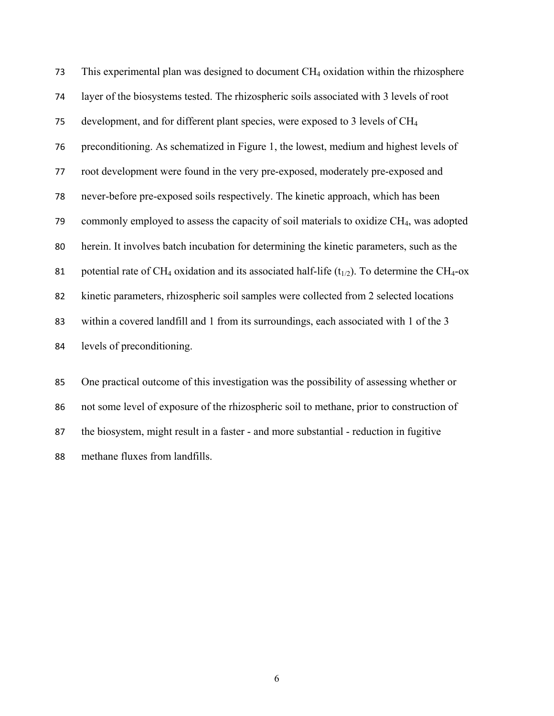This experimental plan was designed to document CH4 oxidation within the rhizosphere layer of the biosystems tested. The rhizospheric soils associated with 3 levels of root development, and for different plant species, were exposed to 3 levels of CH4 preconditioning. As schematized in [Figure 1,](#page-6-0) the lowest, medium and highest levels of root development were found in the very pre-exposed, moderately pre-exposed and never-before pre-exposed soils respectively. The kinetic approach, which has been 79 commonly employed to assess the capacity of soil materials to oxidize  $CH<sub>4</sub>$ , was adopted herein. It involves batch incubation for determining the kinetic parameters, such as the 81 potential rate of CH<sub>4</sub> oxidation and its associated half-life  $(t_{1/2})$ . To determine the CH<sub>4</sub>-ox kinetic parameters, rhizospheric soil samples were collected from 2 selected locations within a covered landfill and 1 from its surroundings, each associated with 1 of the 3 levels of preconditioning.

 One practical outcome of this investigation was the possibility of assessing whether or not some level of exposure of the rhizospheric soil to methane, prior to construction of the biosystem, might result in a faster - and more substantial - reduction in fugitive methane fluxes from landfills.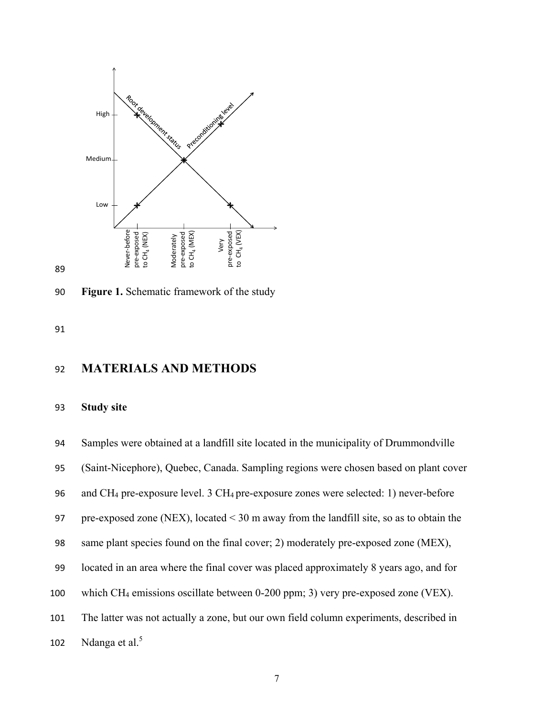

89

<span id="page-6-0"></span>90 **Figure 1.** Schematic framework of the study

91

# 92 **MATERIALS AND METHODS**

#### 93 **Study site**

94 Samples were obtained at a landfill site located in the municipality of Drummondville

95 (Saint-Nicephore), Quebec, Canada. Sampling regions were chosen based on plant cover

96 and CH4 pre-exposure level. 3 CH4 pre-exposure zones were selected: 1) never-before

97 pre-exposed zone (NEX), located < 30 m away from the landfill site, so as to obtain the

- 98 same plant species found on the final cover; 2) moderately pre-exposed zone (MEX),
- 99 located in an area where the final cover was placed approximately 8 years ago, and for
- 100 which CH4 emissions oscillate between 0-200 ppm; 3) very pre-exposed zone (VEX).
- 101 The latter was not actually a zone, but our own field column experiments, described in

102 Ndanga et al[.](#page-21-1)<sup>5</sup>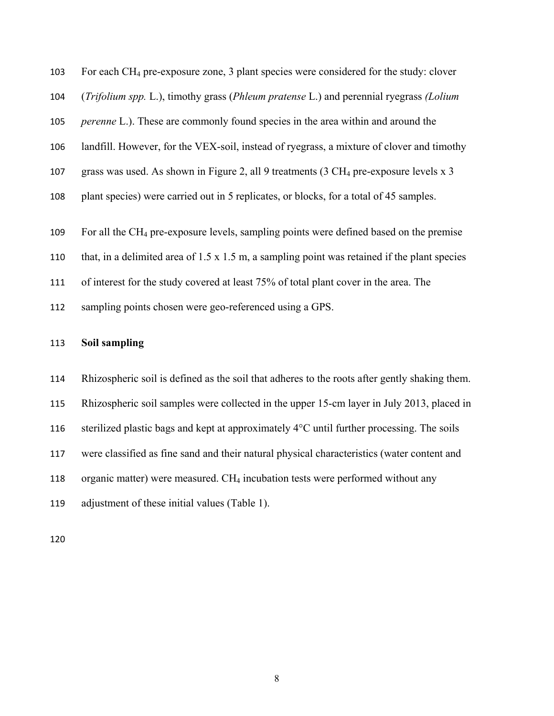For each CH4 pre-exposure zone, 3 plant species were considered for the study: clover (*Trifolium spp.* L.), timothy grass (*Phleum pratense* L.) and perennial ryegrass *(Lolium perenne* L.). These are commonly found species in the area within and around the landfill. However, for the VEX-soil, instead of ryegrass, a mixture of clover and timothy grass was used. As shown in [Figure 2,](#page-10-0) all 9 treatments (3 CH4 pre-exposure levels x 3 plant species) were carried out in 5 replicates, or blocks, for a total of 45 samples. For all the CH4 pre-exposure levels, sampling points were defined based on the premise that, in a delimited area of 1.5 x 1.5 m, a sampling point was retained if the plant species 111 of interest for the study covered at least 75% of total plant cover in the area. The sampling points chosen were geo-referenced using a GPS.

### **Soil sampling**

 Rhizospheric soil is defined as the soil that adheres to the roots after gently shaking them. Rhizospheric soil samples were collected in the upper 15-cm layer in July 2013, placed in 116 sterilized plastic bags and kept at approximately  $4^{\circ}$ C until further processing. The soils were classified as fine sand and their natural physical characteristics (water content and 118 organic matter) were measured. CH<sub>4</sub> incubation tests were performed without any adjustment of these initial values [\(Table 1\)](#page-8-0).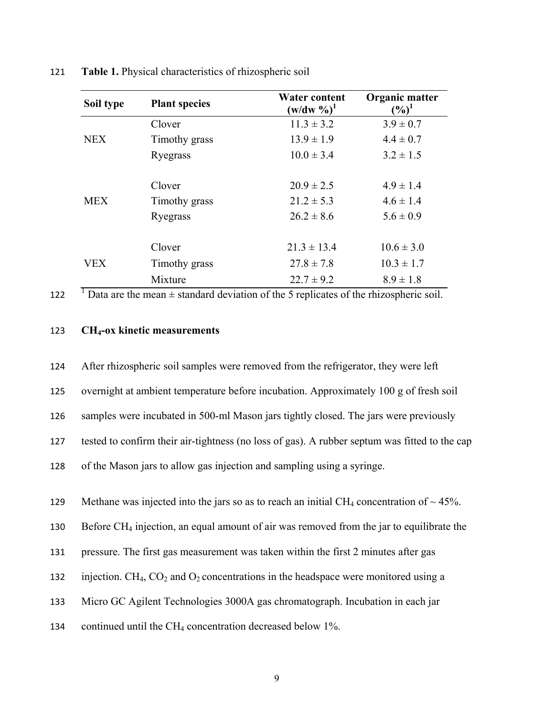<span id="page-8-0"></span>

| Soil type  | <b>Plant species</b> | <b>Water content</b><br>$(w/dw \%)^1$ | Organic matter<br>$(\%)^1$ |  |
|------------|----------------------|---------------------------------------|----------------------------|--|
| <b>NEX</b> | Clover               | $11.3 \pm 3.2$                        | $3.9 \pm 0.7$              |  |
|            | Timothy grass        | $13.9 \pm 1.9$                        | $4.4 \pm 0.7$              |  |
|            | Ryegrass             | $10.0 \pm 3.4$                        | $3.2 \pm 1.5$              |  |
| <b>MEX</b> | Clover               | $20.9 \pm 2.5$                        | $4.9 \pm 1.4$              |  |
|            | Timothy grass        | $21.2 \pm 5.3$                        | $4.6 \pm 1.4$              |  |
|            | Ryegrass             | $26.2 \pm 8.6$                        | $5.6 \pm 0.9$              |  |
|            | Clover               | $21.3 \pm 13.4$                       | $10.6 \pm 3.0$             |  |
| VEX        | Timothy grass        | $27.8 \pm 7.8$                        | $10.3 \pm 1.7$             |  |
|            | Mixture              | $22.7 \pm 9.2$                        | $8.9 \pm 1.8$              |  |

121 **Table 1.** Physical characteristics of rhizospheric soil

122  $\overline{I}$  Data are the mean  $\pm$  standard deviation of the 5 replicates of the rhizospheric soil.

### 123 **CH4-ox kinetic measurements**

124 After rhizospheric soil samples were removed from the refrigerator, they were left

125 overnight at ambient temperature before incubation. Approximately 100 g of fresh soil

126 samples were incubated in 500-ml Mason jars tightly closed. The jars were previously

127 tested to confirm their air-tightness (no loss of gas). A rubber septum was fitted to the cap

128 of the Mason jars to allow gas injection and sampling using a syringe.

129 Methane was injected into the jars so as to reach an initial CH<sub>4</sub> concentration of  $\sim$  45%.

130 Before CH<sub>4</sub> injection, an equal amount of air was removed from the jar to equilibrate the

131 pressure. The first gas measurement was taken within the first 2 minutes after gas

132 injection. CH<sub>4</sub>, CO<sub>2</sub> and O<sub>2</sub> concentrations in the headspace were monitored using a

133 Micro GC Agilent Technologies 3000A gas chromatograph. Incubation in each jar

134 continued until the CH4 concentration decreased below 1%.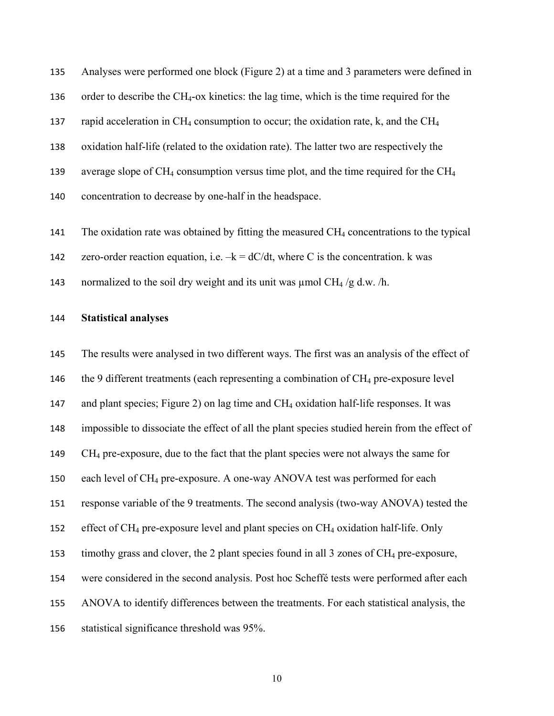Analyses were performed one block [\(Figure 2\)](#page-10-0) at a time and 3 parameters were defined in order to describe the CH4-ox kinetics: the lag time, which is the time required for the 137 rapid acceleration in CH<sub>4</sub> consumption to occur; the oxidation rate, k, and the CH<sub>4</sub> oxidation half-life (related to the oxidation rate). The latter two are respectively the 139 average slope of CH<sub>4</sub> consumption versus time plot, and the time required for the CH<sub>4</sub> concentration to decrease by one-half in the headspace.

141 The oxidation rate was obtained by fitting the measured CH<sub>4</sub> concentrations to the typical

142 zero-order reaction equation, i.e.  $-k = dC/dt$ , where C is the concentration. k was

143 normalized to the soil dry weight and its unit was  $\mu$ mol CH<sub>4</sub> /g d.w. /h.

#### **Statistical analyses**

 The results were analysed in two different ways. The first was an analysis of the effect of 146 the 9 different treatments (each representing a combination of  $CH_4$  pre-exposure level and plant species; [Figure 2\)](#page-10-0) on lag time and CH4 oxidation half-life responses. It was impossible to dissociate the effect of all the plant species studied herein from the effect of CH4 pre-exposure, due to the fact that the plant species were not always the same for each level of CH4 pre-exposure. A one-way ANOVA test was performed for each response variable of the 9 treatments. The second analysis (two-way ANOVA) tested the 152 effect of  $CH_4$  pre-exposure level and plant species on  $CH_4$  oxidation half-life. Only timothy grass and clover, the 2 plant species found in all 3 zones of CH4 pre-exposure, were considered in the second analysis. Post hoc Scheffé tests were performed after each ANOVA to identify differences between the treatments. For each statistical analysis, the statistical significance threshold was 95%.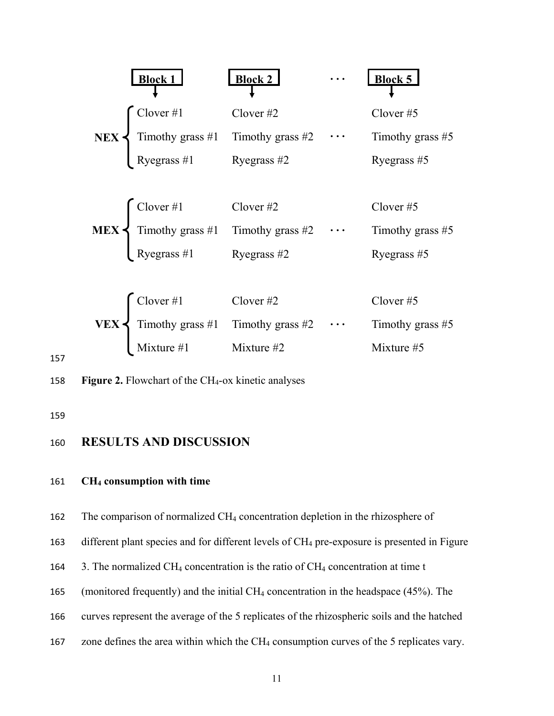

157

<span id="page-10-0"></span>158 **Figure 2.** Flowchart of the CH4-ox kinetic analyses

159

### 160 **RESULTS AND DISCUSSION**

### 161 **CH4 consumption with time**

162 The comparison of normalized CH4 concentration depletion in the rhizosphere of

163 different plant species and for different levels of CH<sub>4</sub> pre-exposure is presented in Figure

- 164 3. The normalized CH<sub>4</sub> concentration is the ratio of CH<sub>4</sub> concentration at time t
- 165 (monitored frequently) and the initial CH<sub>4</sub> concentration in the headspace (45%). The
- 166 curves represent the average of the 5 replicates of the rhizospheric soils and the hatched
- 167 zone defines the area within which the CH<sub>4</sub> consumption curves of the 5 replicates vary.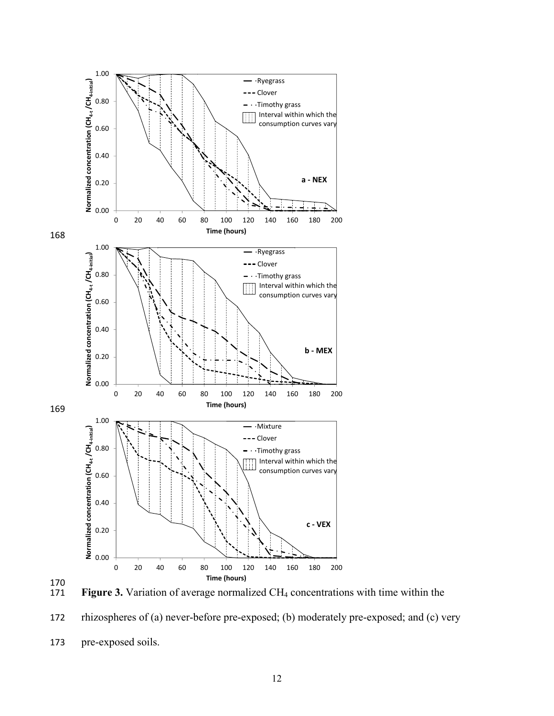



Figure 3. Variation of average normalized CH<sub>4</sub> concentrations with time within the

172 rhizospheres of (a) never-before pre-exposed; (b) moderately pre-exposed; and (c) very

<sup>173</sup> pre-exposed soils.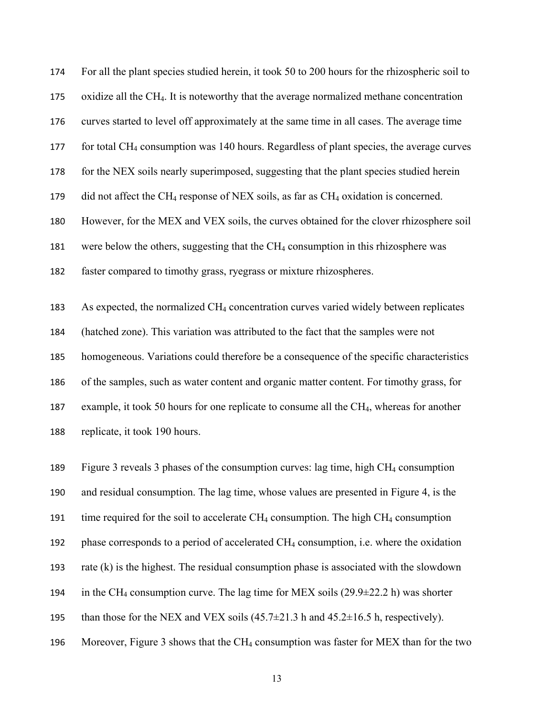For all the plant species studied herein, it took 50 to 200 hours for the rhizospheric soil to oxidize all the CH4. It is noteworthy that the average normalized methane concentration curves started to level off approximately at the same time in all cases. The average time 177 for total CH<sub>4</sub> consumption was 140 hours. Regardless of plant species, the average curves for the NEX soils nearly superimposed, suggesting that the plant species studied herein 179 did not affect the CH<sub>4</sub> response of NEX soils, as far as CH<sub>4</sub> oxidation is concerned. However, for the MEX and VEX soils, the curves obtained for the clover rhizosphere soil were below the others, suggesting that the CH4 consumption in this rhizosphere was faster compared to timothy grass, ryegrass or mixture rhizospheres. As expected, the normalized CH4 concentration curves varied widely between replicates (hatched zone). This variation was attributed to the fact that the samples were not homogeneous. Variations could therefore be a consequence of the specific characteristics of the samples, such as water content and organic matter content. For timothy grass, for 187 example, it took 50 hours for one replicate to consume all the CH<sub>4</sub>, whereas for another

replicate, it took 190 hours.

 Figure 3 reveals 3 phases of the consumption curves: lag time, high CH4 consumption and residual consumption. The lag time, whose values are presented in [Figure 4,](#page-14-0) is the 191 time required for the soil to accelerate CH<sub>4</sub> consumption. The high CH<sub>4</sub> consumption phase corresponds to a period of accelerated CH4 consumption, i.e. where the oxidation rate (k) is the highest. The residual consumption phase is associated with the slowdown 194 in the CH<sub>4</sub> consumption curve. The lag time for MEX soils  $(29.9\pm 22.2 \text{ h})$  was shorter 195 than those for the NEX and VEX soils  $(45.7\pm21.3 \text{ h}$  and  $45.2\pm16.5 \text{ h}$ , respectively). Moreover, Figure 3 shows that the CH4 consumption was faster for MEX than for the two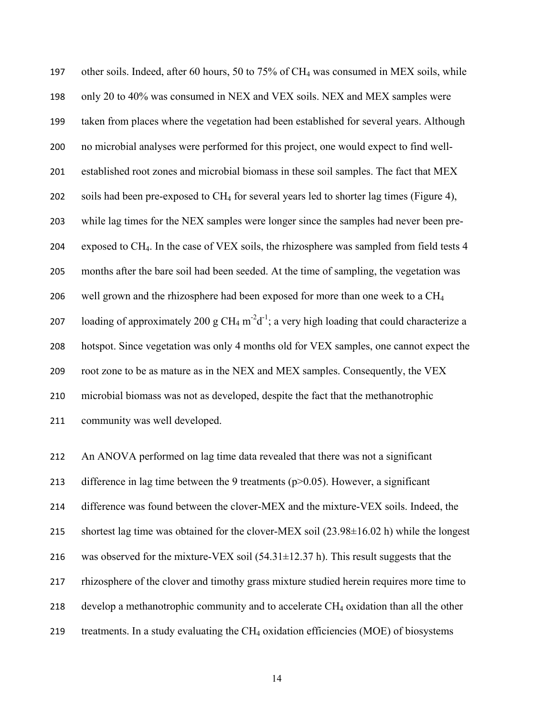other soils. Indeed, after 60 hours, 50 to 75% of CH4 was consumed in MEX soils, while only 20 to 40% was consumed in NEX and VEX soils. NEX and MEX samples were taken from places where the vegetation had been established for several years. Although no microbial analyses were performed for this project, one would expect to find well- established root zones and microbial biomass in these soil samples. The fact that MEX soils had been pre-exposed to CH4 for several years led to shorter lag times [\(Figure 4\)](#page-14-0), while lag times for the NEX samples were longer since the samples had never been pre- exposed to CH4. In the case of VEX soils, the rhizosphere was sampled from field tests 4 months after the bare soil had been seeded. At the time of sampling, the vegetation was 206 well grown and the rhizosphere had been exposed for more than one week to a  $CH<sub>4</sub>$ 207 loading of approximately 200 g CH<sub>4</sub> m<sup>-2</sup>d<sup>-1</sup>; a very high loading that could characterize a hotspot. Since vegetation was only 4 months old for VEX samples, one cannot expect the root zone to be as mature as in the NEX and MEX samples. Consequently, the VEX microbial biomass was not as developed, despite the fact that the methanotrophic community was well developed.

 An ANOVA performed on lag time data revealed that there was not a significant 213 difference in lag time between the 9 treatments ( $p > 0.05$ ). However, a significant difference was found between the clover-MEX and the mixture-VEX soils. Indeed, the shortest lag time was obtained for the clover-MEX soil (23.98±16.02 h) while the longest 216 was observed for the mixture-VEX soil  $(54.31 \pm 12.37 \text{ h})$ . This result suggests that the 217 rhizosphere of the clover and timothy grass mixture studied herein requires more time to 218 develop a methanotrophic community and to accelerate  $CH_4$  oxidation than all the other 219 treatments. In a study evaluating the  $CH_4$  oxidation efficiencies (MOE) of biosystems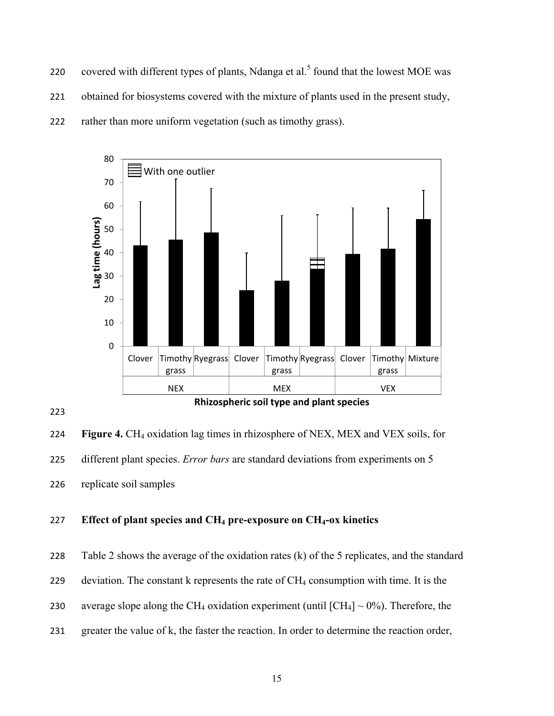220 covered with different types of plants, Ndanga et al.<sup>5</sup> found that the lowest MOE was 221 obtained for biosystems covered with the mixture of plants used in the present study, 222 rather than more uniform vegetation (such as timothy grass).





<span id="page-14-0"></span>224 **Figure 4.** CH4 oxidation lag times in rhizosphere of NEX, MEX and VEX soils, for 225 different plant species. *Error bars* are standard deviations from experiments on 5 226 replicate soil samples

### 227 **Effect of plant species and CH4 pre-exposure on CH4-ox kinetics**

228 [Table 2](#page-15-0) shows the average of the oxidation rates  $(k)$  of the 5 replicates, and the standard 229 deviation. The constant k represents the rate of  $CH_4$  consumption with time. It is the 230 average slope along the CH<sub>4</sub> oxidation experiment (until  $\text{[CH}_4] \sim 0\%$ ). Therefore, the 231 greater the value of k, the faster the reaction. In order to determine the reaction order,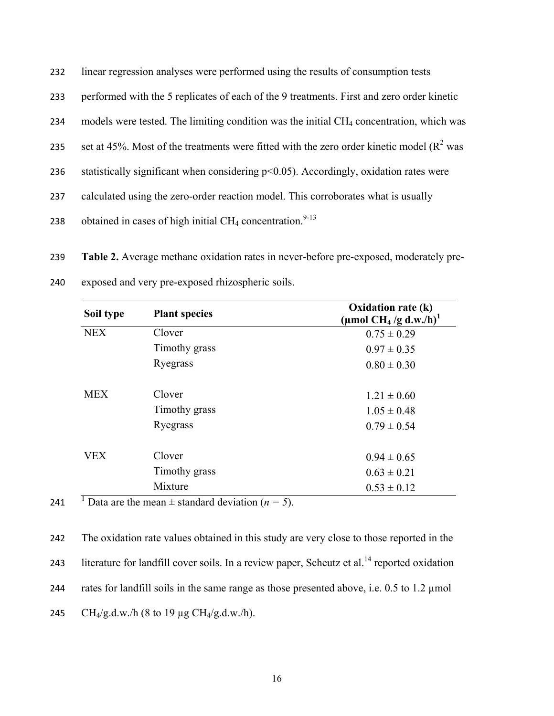| 232 |  |  | linear regression analyses were performed using the results of consumption tests |
|-----|--|--|----------------------------------------------------------------------------------|
|     |  |  |                                                                                  |

- 233 performed with the 5 replicates of each of the 9 treatments. First and zero order kinetic
- 234 models were tested. The limiting condition was the initial CH<sub>4</sub> concentration, which was
- 235 set at 45%. Most of the treatments were fitted with the zero order kinetic model ( $R^2$  was
- 236 statistically significant when considering p<0.05). Accordingly, oxidation rates were
- 237 calculated using the zero-order reaction model. This corroborates what is usually
- 238 obtained in cases of high initial  $CH_4$  concentration.<sup>9-13</sup>

<span id="page-15-0"></span>239 **Table 2.** Average methane oxidation rates in never-before pre-exposed, moderately pre-

| Soil type                | <b>Plant species</b> | Oxidation rate (k)<br>(µmol CH <sub>4</sub> /g d.w./h) <sup>1</sup> |
|--------------------------|----------------------|---------------------------------------------------------------------|
| <b>NEX</b>               | Clover               | $0.75 \pm 0.29$                                                     |
|                          | Timothy grass        | $0.97 \pm 0.35$                                                     |
|                          | Ryegrass             | $0.80 \pm 0.30$                                                     |
| <b>MEX</b>               | Clover               | $1.21 \pm 0.60$                                                     |
|                          | Timothy grass        | $1.05 \pm 0.48$                                                     |
|                          | Ryegrass             | $0.79 \pm 0.54$                                                     |
| <b>VEX</b>               | Clover               | $0.94 \pm 0.65$                                                     |
|                          | Timothy grass        | $0.63 \pm 0.21$                                                     |
| $\overline{\phantom{a}}$ | Mixture              | $0.53 \pm 0.12$                                                     |

240 exposed and very pre-exposed rhizospheric soils.

241 **Data are the mean**  $\pm$  standard deviation ( $n = 5$ ).

242 The oxidation rate values obtained in this study are very close to those reported in the 243 literature for landfill cover soils. In a review paper, Scheutz et al.<sup>14</sup> reported oxidation 244 rates for landfill soils in the same range as those presented above, i.e. 0.5 to 1.2 µmol 245 CH<sub>4</sub>/g.d.w./h (8 to 19 µg CH<sub>4</sub>/g.d.w./h).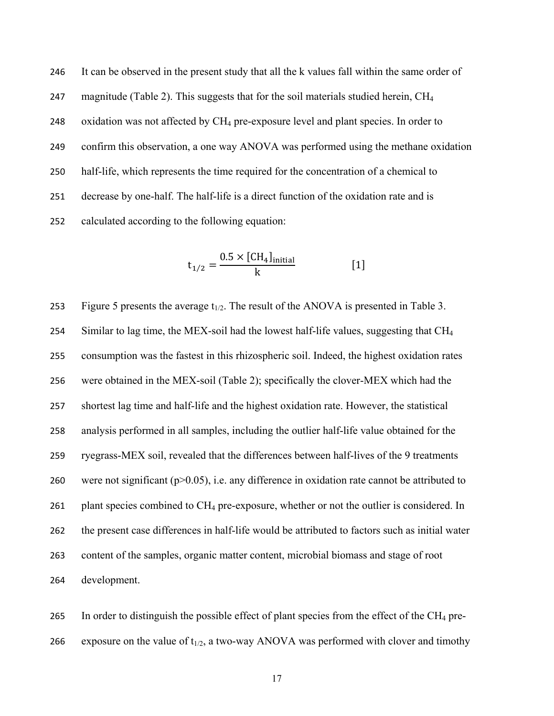It can be observed in the present study that all the k values fall within the same order of 247 magnitude (Table 2). This suggests that for the soil materials studied herein, CH<sub>4</sub> 248 oxidation was not affected by CH<sub>4</sub> pre-exposure level and plant species. In order to confirm this observation, a one way ANOVA was performed using the methane oxidation half-life, which represents the time required for the concentration of a chemical to decrease by one-half. The half-life is a direct function of the oxidation rate and is calculated according to the following equation:

$$
t_{1/2} = \frac{0.5 \times [CH_4]_{initial}}{k}
$$
 [1]

253 Figure 5 presents the average  $t_{1/2}$ . The result of the ANOVA is presented in Table 3. 254 Similar to lag time, the MEX-soil had the lowest half-life values, suggesting that CH<sub>4</sub> consumption was the fastest in this rhizospheric soil. Indeed, the highest oxidation rates were obtained in the MEX-soil [\(Table 2\)](#page-15-0); specifically the clover-MEX which had the shortest lag time and half-life and the highest oxidation rate. However, the statistical analysis performed in all samples, including the outlier half-life value obtained for the ryegrass-MEX soil, revealed that the differences between half-lives of the 9 treatments 260 were not significant ( $p > 0.05$ ), i.e. any difference in oxidation rate cannot be attributed to 261 plant species combined to  $CH_4$  pre-exposure, whether or not the outlier is considered. In the present case differences in half-life would be attributed to factors such as initial water content of the samples, organic matter content, microbial biomass and stage of root development.

265 In order to distinguish the possible effect of plant species from the effect of the  $CH_4$  pre-266 exposure on the value of  $t_{1/2}$ , a two-way ANOVA was performed with clover and timothy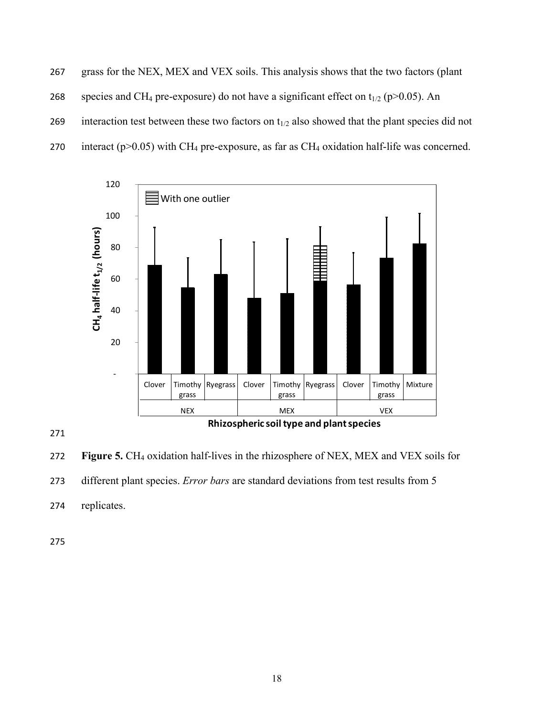267 grass for the NEX, MEX and VEX soils. This analysis shows that the two factors (plant 268 species and CH<sub>4</sub> pre-exposure) do not have a significant effect on  $t_{1/2}$  (p>0.05). An 269 interaction test between these two factors on  $t_{1/2}$  also showed that the plant species did not 270 interact ( $p > 0.05$ ) with CH<sub>4</sub> pre-exposure, as far as CH<sub>4</sub> oxidation half-life was concerned.



271

272 **Figure 5.** CH<sub>4</sub> oxidation half-lives in the rhizosphere of NEX, MEX and VEX soils for 273 different plant species. *Error bars* are standard deviations from test results from 5 274 replicates.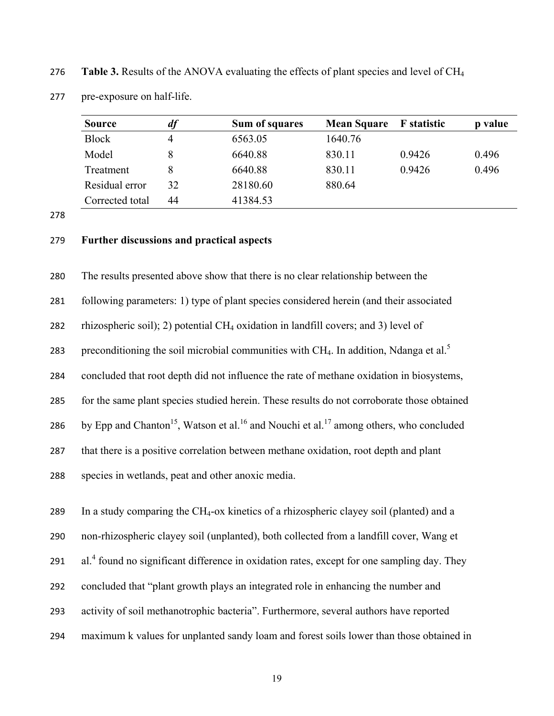276 **Table 3.** Results of the ANOVA evaluating the effects of plant species and level of CH4

Model 8 6640.88 830.11 0.9426 0.496 Treatment 8 6640.88 830.11 0.9426 0.496

| <b>Source</b> | Sum of squares | Mean Square F statistic | p value |
|---------------|----------------|-------------------------|---------|
| <b>Block</b>  | 6563.05        | 1640.76                 |         |

Residual error 32 28180.60 880.64

277 pre-exposure on half-life.

278

#### 279 **Further discussions and practical aspects**

Corrected total 44 41384.53

280 The results presented above show that there is no clear relationship between the

281 following parameters: 1) type of plant species considered herein (and their associated

282 rhizospheric soil); 2) potential  $CH_4$  oxidation in landfill covers; and 3) level of

283 preconditioning the soil microbial communities with CH<sub>4</sub>. In addition, Ndanga et al.<sup>5</sup>

284 concluded that root depth did not influence the rate of methane oxidation in biosystems,

285 for the same plant species studied herein. These results do not corroborate those obtained

286 by Epp and Chanton<sup>15</sup>, Watson et al.<sup>16</sup> and Nouchi et al.<sup>17</sup> among others, who concluded

287 that there is a positive correlation between methane oxidation, root depth and plant

288 species in wetlands, peat and other anoxic media.

289 In a study comparing the CH<sub>4</sub>-ox kinetics of a rhizospheric clayey soil (planted) and a 290 non-rhizospheric clayey soil (unplanted), both collected from a landfill cover, Wang et 291 al.<sup>4</sup> found no significant difference in oxidation rates, except for one sampling day. They 292 concluded that "plant growth plays an integrated role in enhancing the number and 293 activity of soil methanotrophic bacteria". Furthermore, several authors have reported

294 maximum k values for unplanted sandy loam and forest soils lower than those obtained in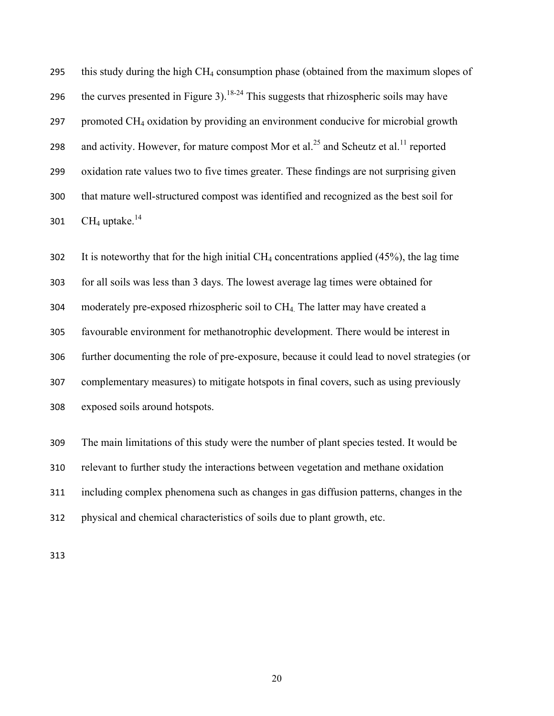295 this study during the high CH<sub>4</sub> consumption phase (obtained from the maximum slopes of 296 the curves presented in Figure 3).<sup>18-24</sup> This suggests that rhizospheric soils may have promoted CH4 oxidation by providing an environment conducive for microbial growth 298 and activity. However, for mature compost Mor et al.<sup>25</sup> and Scheutz et al.<sup>11</sup> reported oxidation rate values two to five times greater. These findings are not surprising given that mature well-structured compost was identified and recognized as the best soil for 301  $\,$  CH<sub>4</sub> uptake.<sup>[14](#page-22-0)</sup>

302 It is noteworthy that for the high initial  $CH_4$  concentrations applied (45%), the lag time for all soils was less than 3 days. The lowest average lag times were obtained for moderately pre-exposed rhizospheric soil to CH<sub>4</sub>. The latter may have created a favourable environment for methanotrophic development. There would be interest in further documenting the role of pre-exposure, because it could lead to novel strategies (or complementary measures) to mitigate hotspots in final covers, such as using previously exposed soils around hotspots.

The main limitations of this study were the number of plant species tested. It would be

relevant to further study the interactions between vegetation and methane oxidation

including complex phenomena such as changes in gas diffusion patterns, changes in the

physical and chemical characteristics of soils due to plant growth, etc.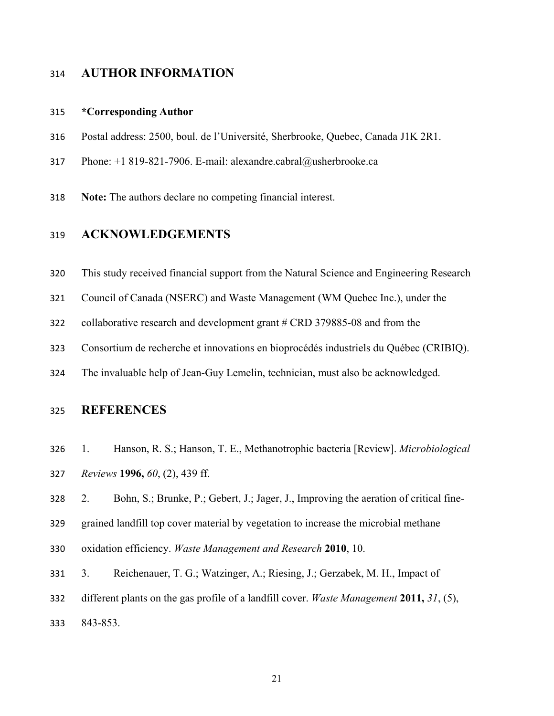# **AUTHOR INFORMATION**

#### **\*Corresponding Author**

- Postal address: 2500, boul. de l'Université, Sherbrooke, Quebec, Canada J1K 2R1.
- Phone: +1 819-821-7906. E-mail: alexandre.cabral@usherbrooke.ca
- **Note:** The authors declare no competing financial interest.

# **ACKNOWLEDGEMENTS**

- This study received financial support from the Natural Science and Engineering Research
- Council of Canada (NSERC) and Waste Management (WM Quebec Inc.), under the
- collaborative research and development grant # CRD 379885-08 and from the
- Consortium de recherche et innovations en bioprocédés industriels du Québec (CRIBIQ).
- The invaluable help of Jean-Guy Lemelin, technician, must also be acknowledged.

# **REFERENCES**

- <span id="page-20-0"></span> 1. Hanson, R. S.; Hanson, T. E., Methanotrophic bacteria [Review]. *Microbiological Reviews* **1996,** *60*, (2), 439 ff.
- <span id="page-20-1"></span>2. Bohn, S.; Brunke, P.; Gebert, J.; Jager, J., Improving the aeration of critical fine-
- grained landfill top cover material by vegetation to increase the microbial methane
- oxidation efficiency. *Waste Management and Research* **2010**, 10.
- <span id="page-20-2"></span> 3. Reichenauer, T. G.; Watzinger, A.; Riesing, J.; Gerzabek, M. H., Impact of different plants on the gas profile of a landfill cover. *Waste Management* **2011,** *31*, (5), 843-853.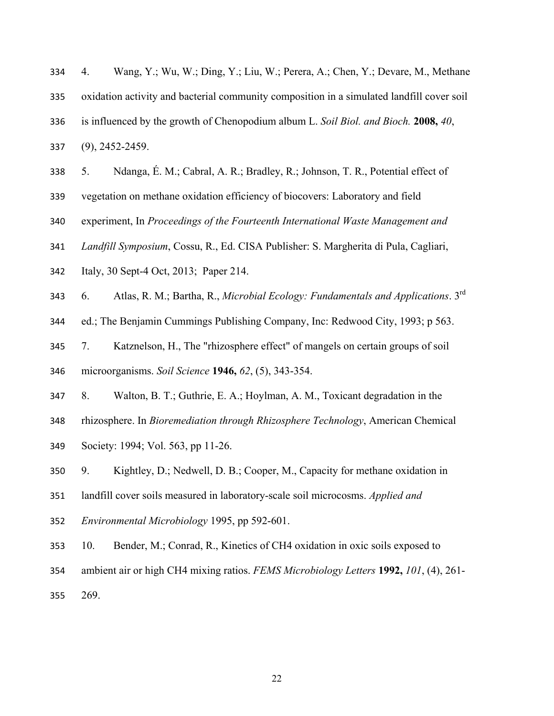- <span id="page-21-0"></span> 4. Wang, Y.; Wu, W.; Ding, Y.; Liu, W.; Perera, A.; Chen, Y.; Devare, M., Methane oxidation activity and bacterial community composition in a simulated landfill cover soil is influenced by the growth of Chenopodium album L. *Soil Biol. and Bioch.* **2008,** *40*, (9), 2452-2459.
- <span id="page-21-1"></span>5. Ndanga, É. M.; Cabral, A. R.; Bradley, R.; Johnson, T. R., Potential effect of
- vegetation on methane oxidation efficiency of biocovers: Laboratory and field
- experiment, In *Proceedings of the Fourteenth International Waste Management and*
- *Landfill Symposium*, Cossu, R., Ed. CISA Publisher: S. Margherita di Pula, Cagliari,
- Italy, 30 Sept-4 Oct, 2013; Paper 214.
- <span id="page-21-2"></span>6. Atlas, R. M.; Bartha, R., *Microbial Ecology: Fundamentals and Applications*. 3<sup>rd</sup>
- ed.; The Benjamin Cummings Publishing Company, Inc: Redwood City, 1993; p 563.
- <span id="page-21-3"></span>7. Katznelson, H., The "rhizosphere effect" of mangels on certain groups of soil
- microorganisms. *Soil Science* **1946,** *62*, (5), 343-354.
- <span id="page-21-4"></span>8. Walton, B. T.; Guthrie, E. A.; Hoylman, A. M., Toxicant degradation in the
- rhizosphere. In *Bioremediation through Rhizosphere Technology*, American Chemical
- Society: 1994; Vol. 563, pp 11-26.
- <span id="page-21-5"></span>9. Kightley, D.; Nedwell, D. B.; Cooper, M., Capacity for methane oxidation in
- landfill cover soils measured in laboratory-scale soil microcosms. *Applied and*
- *Environmental Microbiology* 1995, pp 592-601.
- 10. Bender, M.; Conrad, R., Kinetics of CH4 oxidation in oxic soils exposed to
- ambient air or high CH4 mixing ratios. *FEMS Microbiology Letters* **1992,** *101*, (4), 261-
- 269.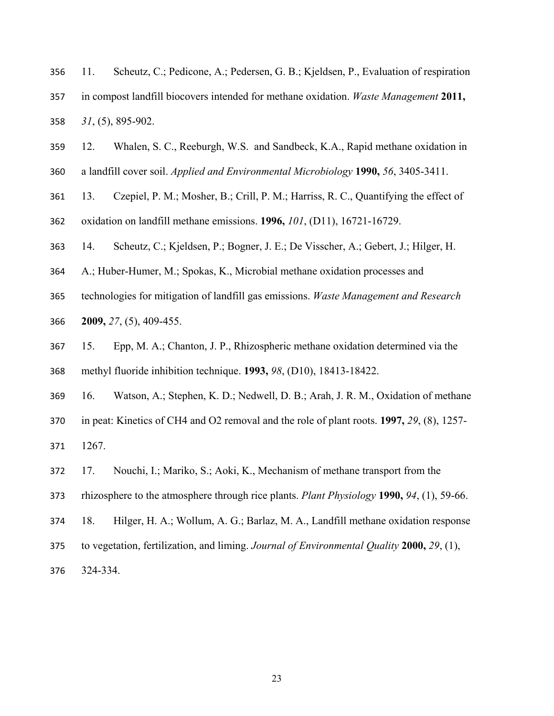<span id="page-22-5"></span>

|     | 356 11. | Scheutz, C.; Pedicone, A.; Pedersen, G. B.; Kjeldsen, P., Evaluation of respiration         |
|-----|---------|---------------------------------------------------------------------------------------------|
| 357 |         | in compost landfill biocovers intended for methane oxidation. <i>Waste Management</i> 2011, |
|     |         | $358$ $31, (5)$ , $895-902$ .                                                               |

12. Whalen, S. C., Reeburgh, W.S. and Sandbeck, K.A., Rapid methane oxidation in

a landfill cover soil. *Applied and Environmental Microbiology* **1990,** *56*, 3405-3411.

 13. Czepiel, P. M.; Mosher, B.; Crill, P. M.; Harriss, R. C., Quantifying the effect of oxidation on landfill methane emissions. **1996,** *101*, (D11), 16721-16729.

<span id="page-22-0"></span>14. Scheutz, C.; Kjeldsen, P.; Bogner, J. E.; De Visscher, A.; Gebert, J.; Hilger, H.

A.; Huber-Humer, M.; Spokas, K., Microbial methane oxidation processes and

 technologies for mitigation of landfill gas emissions. *Waste Management and Research*  **2009,** *27*, (5), 409-455.

<span id="page-22-1"></span> 15. Epp, M. A.; Chanton, J. P., Rhizospheric methane oxidation determined via the methyl fluoride inhibition technique. **1993,** *98*, (D10), 18413-18422.

<span id="page-22-2"></span>16. Watson, A.; Stephen, K. D.; Nedwell, D. B.; Arah, J. R. M., Oxidation of methane

in peat: Kinetics of CH4 and O2 removal and the role of plant roots. **1997,** *29*, (8), 1257-

1267.

<span id="page-22-3"></span>17. Nouchi, I.; Mariko, S.; Aoki, K., Mechanism of methane transport from the

rhizosphere to the atmosphere through rice plants. *Plant Physiology* **1990,** *94*, (1), 59-66.

- <span id="page-22-4"></span>18. Hilger, H. A.; Wollum, A. G.; Barlaz, M. A., Landfill methane oxidation response
- to vegetation, fertilization, and liming. *Journal of Environmental Quality* **2000,** *29*, (1),

324-334.